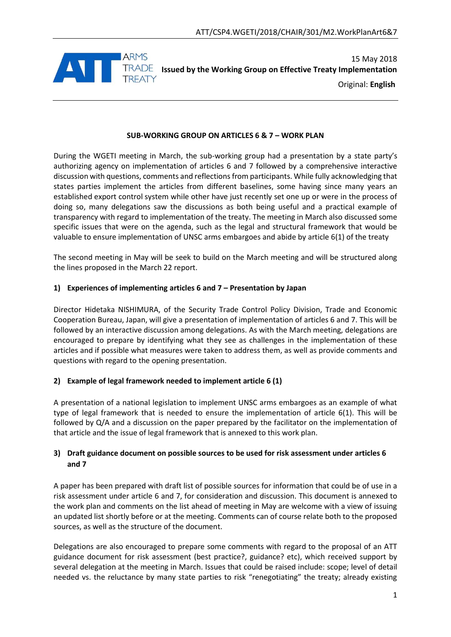

15 May 2018 **Issued by the Working Group on Effective Treaty Implementation** Original: **English**

## **SUB-WORKING GROUP ON ARTICLES 6 & 7 – WORK PLAN**

During the WGETI meeting in March, the sub-working group had a presentation by a state party's authorizing agency on implementation of articles 6 and 7 followed by a comprehensive interactive discussion with questions, comments and reflections from participants. While fully acknowledging that states parties implement the articles from different baselines, some having since many years an established export control system while other have just recently set one up or were in the process of doing so, many delegations saw the discussions as both being useful and a practical example of transparency with regard to implementation of the treaty. The meeting in March also discussed some specific issues that were on the agenda, such as the legal and structural framework that would be valuable to ensure implementation of UNSC arms embargoes and abide by article 6(1) of the treaty

The second meeting in May will be seek to build on the March meeting and will be structured along the lines proposed in the March 22 report.

# **1) Experiences of implementing articles 6 and 7 – Presentation by Japan**

Director Hidetaka NISHIMURA, of the Security Trade Control Policy Division, Trade and Economic Cooperation Bureau, Japan, will give a presentation of implementation of articles 6 and 7. This will be followed by an interactive discussion among delegations. As with the March meeting, delegations are encouraged to prepare by identifying what they see as challenges in the implementation of these articles and if possible what measures were taken to address them, as well as provide comments and questions with regard to the opening presentation.

## **2) Example of legal framework needed to implement article 6 (1)**

A presentation of a national legislation to implement UNSC arms embargoes as an example of what type of legal framework that is needed to ensure the implementation of article 6(1). This will be followed by Q/A and a discussion on the paper prepared by the facilitator on the implementation of that article and the issue of legal framework that is annexed to this work plan.

# **3) Draft guidance document on possible sources to be used for risk assessment under articles 6 and 7**

A paper has been prepared with draft list of possible sources for information that could be of use in a risk assessment under article 6 and 7, for consideration and discussion. This document is annexed to the work plan and comments on the list ahead of meeting in May are welcome with a view of issuing an updated list shortly before or at the meeting. Comments can of course relate both to the proposed sources, as well as the structure of the document.

Delegations are also encouraged to prepare some comments with regard to the proposal of an ATT guidance document for risk assessment (best practice?, guidance? etc), which received support by several delegation at the meeting in March. Issues that could be raised include: scope; level of detail needed vs. the reluctance by many state parties to risk "renegotiating" the treaty; already existing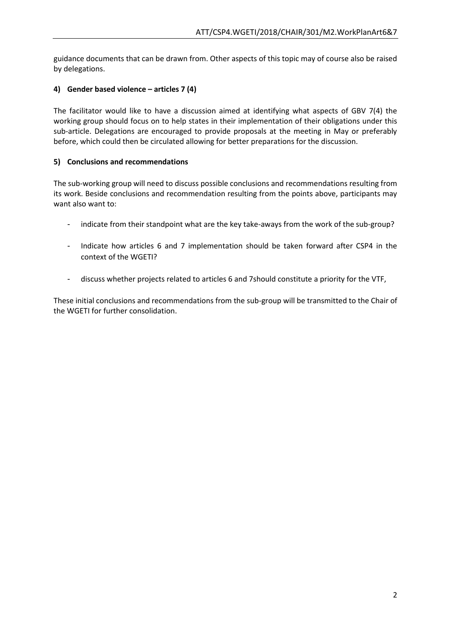guidance documents that can be drawn from. Other aspects of this topic may of course also be raised by delegations.

# **4) Gender based violence – articles 7 (4)**

The facilitator would like to have a discussion aimed at identifying what aspects of GBV 7(4) the working group should focus on to help states in their implementation of their obligations under this sub-article. Delegations are encouraged to provide proposals at the meeting in May or preferably before, which could then be circulated allowing for better preparations for the discussion.

## **5) Conclusions and recommendations**

The sub-working group will need to discuss possible conclusions and recommendations resulting from its work. Beside conclusions and recommendation resulting from the points above, participants may want also want to:

- indicate from their standpoint what are the key take-aways from the work of the sub-group?
- Indicate how articles 6 and 7 implementation should be taken forward after CSP4 in the context of the WGETI?
- discuss whether projects related to articles 6 and 7should constitute a priority for the VTF,

These initial conclusions and recommendations from the sub-group will be transmitted to the Chair of the WGETI for further consolidation.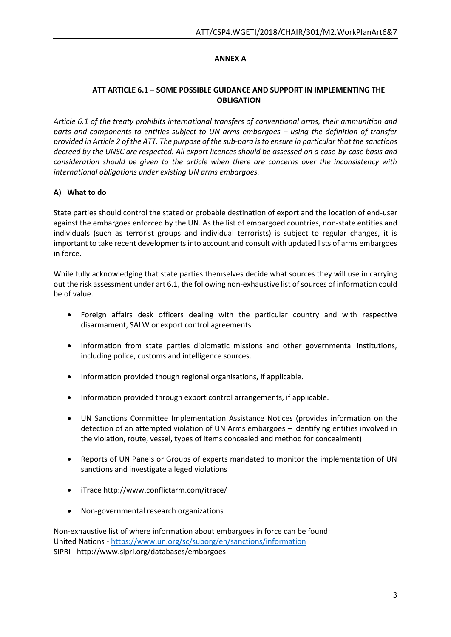# **ANNEX A**

# **ATT ARTICLE 6.1 – SOME POSSIBLE GUIDANCE AND SUPPORT IN IMPLEMENTING THE OBLIGATION**

*Article 6.1 of the treaty prohibits international transfers of conventional arms, their ammunition and parts and components to entities subject to UN arms embargoes – using the definition of transfer provided in Article 2 of the ATT. The purpose of the sub-para is to ensure in particular that the sanctions decreed by the UNSC are respected. All export licences should be assessed on a case-by-case basis and consideration should be given to the article when there are concerns over the inconsistency with international obligations under existing UN arms embargoes.*

# **A) What to do**

State parties should control the stated or probable destination of export and the location of end-user against the embargoes enforced by the UN. As the list of embargoed countries, non-state entities and individuals (such as terrorist groups and individual terrorists) is subject to regular changes, it is important to take recent developments into account and consult with updated lists of arms embargoes in force.

While fully acknowledging that state parties themselves decide what sources they will use in carrying out the risk assessment under art 6.1, the following non-exhaustive list of sources of information could be of value.

- Foreign affairs desk officers dealing with the particular country and with respective disarmament, SALW or export control agreements.
- Information from state parties diplomatic missions and other governmental institutions, including police, customs and intelligence sources.
- Information provided though regional organisations, if applicable.
- Information provided through export control arrangements, if applicable.
- UN Sanctions Committee Implementation Assistance Notices (provides information on the detection of an attempted violation of UN Arms embargoes – identifying entities involved in the violation, route, vessel, types of items concealed and method for concealment)
- Reports of UN Panels or Groups of experts mandated to monitor the implementation of UN sanctions and investigate alleged violations
- iTrace http://www.conflictarm.com/itrace/
- Non-governmental research organizations

Non-exhaustive list of where information about embargoes in force can be found: United Nations - <https://www.un.org/sc/suborg/en/sanctions/information> SIPRI - http://www.sipri.org/databases/embargoes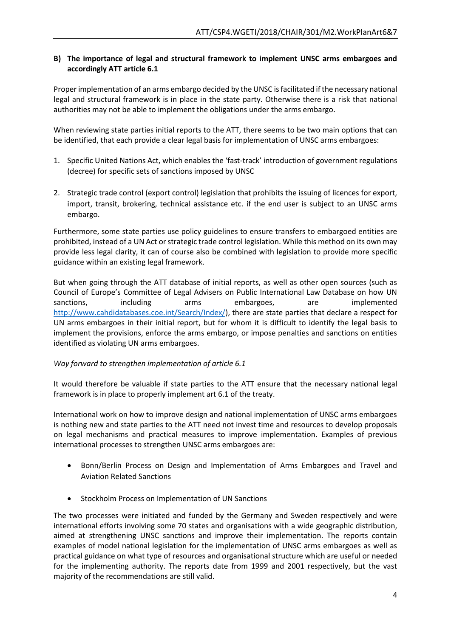## **B) The importance of legal and structural framework to implement UNSC arms embargoes and accordingly ATT article 6.1**

Proper implementation of an arms embargo decided by the UNSC is facilitated if the necessary national legal and structural framework is in place in the state party. Otherwise there is a risk that national authorities may not be able to implement the obligations under the arms embargo.

When reviewing state parties initial reports to the ATT, there seems to be two main options that can be identified, that each provide a clear legal basis for implementation of UNSC arms embargoes:

- 1. Specific United Nations Act, which enables the 'fast-track' introduction of government regulations (decree) for specific sets of sanctions imposed by UNSC
- 2. Strategic trade control (export control) legislation that prohibits the issuing of licences for export, import, transit, brokering, technical assistance etc. if the end user is subject to an UNSC arms embargo.

Furthermore, some state parties use policy guidelines to ensure transfers to embargoed entities are prohibited, instead of a UN Act or strategic trade control legislation. While this method on its own may provide less legal clarity, it can of course also be combined with legislation to provide more specific guidance within an existing legal framework.

But when going through the ATT database of initial reports, as well as other open sources (such as Council of Europe's Committee of Legal Advisers on Public International Law Database on how UN sanctions, including arms embargoes, are implemented [http://www.cahdidatabases.coe.int/Search/Index/\)](http://www.cahdidatabases.coe.int/Search/Index/), there are state parties that declare a respect for UN arms embargoes in their initial report, but for whom it is difficult to identify the legal basis to implement the provisions, enforce the arms embargo, or impose penalties and sanctions on entities identified as violating UN arms embargoes.

## *Way forward to strengthen implementation of article 6.1*

It would therefore be valuable if state parties to the ATT ensure that the necessary national legal framework is in place to properly implement art 6.1 of the treaty.

International work on how to improve design and national implementation of UNSC arms embargoes is nothing new and state parties to the ATT need not invest time and resources to develop proposals on legal mechanisms and practical measures to improve implementation. Examples of previous international processes to strengthen UNSC arms embargoes are:

- Bonn/Berlin Process on Design and Implementation of Arms Embargoes and Travel and Aviation Related Sanctions
- Stockholm Process on Implementation of UN Sanctions

The two processes were initiated and funded by the Germany and Sweden respectively and were international efforts involving some 70 states and organisations with a wide geographic distribution, aimed at strengthening UNSC sanctions and improve their implementation. The reports contain examples of model national legislation for the implementation of UNSC arms embargoes as well as practical guidance on what type of resources and organisational structure which are useful or needed for the implementing authority. The reports date from 1999 and 2001 respectively, but the vast majority of the recommendations are still valid.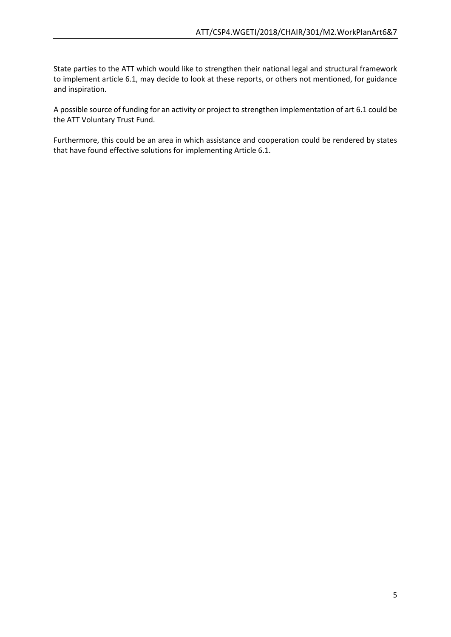State parties to the ATT which would like to strengthen their national legal and structural framework to implement article 6.1, may decide to look at these reports, or others not mentioned, for guidance and inspiration.

A possible source of funding for an activity or project to strengthen implementation of art 6.1 could be the ATT Voluntary Trust Fund.

Furthermore, this could be an area in which assistance and cooperation could be rendered by states that have found effective solutions for implementing Article 6.1.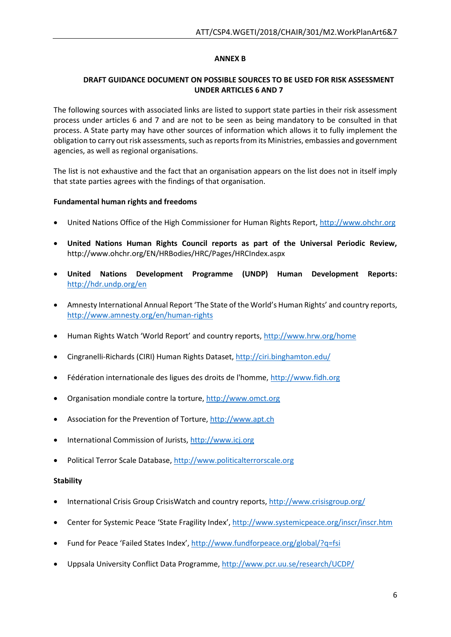## **ANNEX B**

### **DRAFT GUIDANCE DOCUMENT ON POSSIBLE SOURCES TO BE USED FOR RISK ASSESSMENT UNDER ARTICLES 6 AND 7**

The following sources with associated links are listed to support state parties in their risk assessment process under articles 6 and 7 and are not to be seen as being mandatory to be consulted in that process. A State party may have other sources of information which allows it to fully implement the obligation to carry out risk assessments, such as reports from its Ministries, embassies and government agencies, as well as regional organisations.

The list is not exhaustive and the fact that an organisation appears on the list does not in itself imply that state parties agrees with the findings of that organisation.

#### **Fundamental human rights and freedoms**

- United Nations Office of the High Commissioner for Human Rights Report, [http://www.ohchr.org](http://www.ohchr.org/)
- **United Nations Human Rights Council reports as part of the Universal Periodic Review,**  http://www.ohchr.org/EN/HRBodies/HRC/Pages/HRCIndex.aspx
- **United Nations Development Programme (UNDP) Human Development Reports:** <http://hdr.undp.org/en>
- Amnesty International Annual Report 'The State of the World's Human Rights' and country reports, <http://www.amnesty.org/en/human-rights>
- Human Rights Watch 'World Report' and country reports, <http://www.hrw.org/home>
- Cingranelli-Richards (CIRI) Human Rights Dataset,<http://ciri.binghamton.edu/>
- Fédération internationale des ligues des droits de l'homme, [http://www.fidh.org](http://www.fidh.org/)
- Organisation mondiale contre la torture, [http://www.omct.org](http://www.omct.org/)
- Association for the Prevention of Torture, [http://www.apt.ch](http://www.apt.ch/)
- International Commission of Jurists, [http://www.icj.org](http://www.icj.org/)
- Political Terror Scale Database[, http://www.politicalterrorscale.org](http://www.politicalterrorscale.org/)

#### **Stability**

- International Crisis Group CrisisWatch and country reports,<http://www.crisisgroup.org/>
- Center for Systemic Peace 'State Fragility Index', <http://www.systemicpeace.org/inscr/inscr.htm>
- Fund for Peace 'Failed States Index', <http://www.fundforpeace.org/global/?q=fsi>
- Uppsala University Conflict Data Programme,<http://www.pcr.uu.se/research/UCDP/>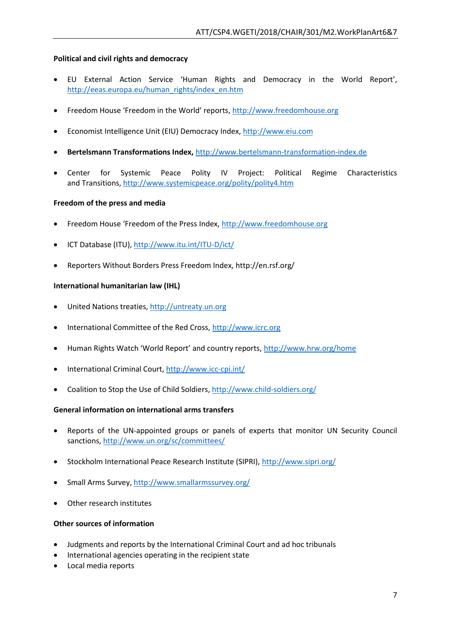### **Political and civil rights and democracy**

- EU External Action Service 'Human Rights and Democracy in the World Report', [http://eeas.europa.eu/human\\_rights/index\\_en.htm](http://eeas.europa.eu/human_rights/index_en.htm)
- Freedom House 'Freedom in the World' reports, [http://www.freedomhouse.org](http://www.freedomhouse.org/)
- Economist Intelligence Unit (EIU) Democracy Index[, http://www.eiu.com](http://www.eiu.com/)
- **Bertelsmann Transformations Index,** [http://www.bertelsmann-transformation-index.de](http://www.bertelsmann-transformation-index.de/)
- Center for Systemic Peace Polity IV Project: Political Regime Characteristics and Transitions[, http://www.systemicpeace.org/polity/polity4.htm](http://www.systemicpeace.org/polity/polity4.htm)

#### **Freedom of the press and media**

- Freedom House 'Freedom of the Press Index, [http://www.freedomhouse.org](http://www.freedomhouse.org/)
- ICT Database (ITU)[, http://www.itu.int/ITU-D/ict/](http://www.itu.int/ITU-D/ict/)
- Reporters Without Borders Press Freedom Index, http://en.rsf.org/

#### **International humanitarian law (IHL)**

- United Nations treaties, [http://untreaty.un.org](http://untreaty.un.org/)
- International Committee of the Red Cross, [http://www.icrc.org](http://www.icrc.org/)
- Human Rights Watch 'World Report' and country reports, <http://www.hrw.org/home>
- International Criminal Court,<http://www.icc-cpi.int/>
- Coalition to Stop the Use of Child Soldiers,<http://www.child-soldiers.org/>

#### **General information on international arms transfers**

- Reports of the UN-appointed groups or panels of experts that monitor UN Security Council sanctions,<http://www.un.org/sc/committees/>
- Stockholm International Peace Research Institute (SIPRI)[, http://www.sipri.org/](http://www.sipri.org/)
- Small Arms Survey[, http://www.smallarmssurvey.org/](http://www.smallarmssurvey.org/)
- Other research institutes

#### **Other sources of information**

- Judgments and reports by the International Criminal Court and ad hoc tribunals
- International agencies operating in the recipient state
- Local media reports